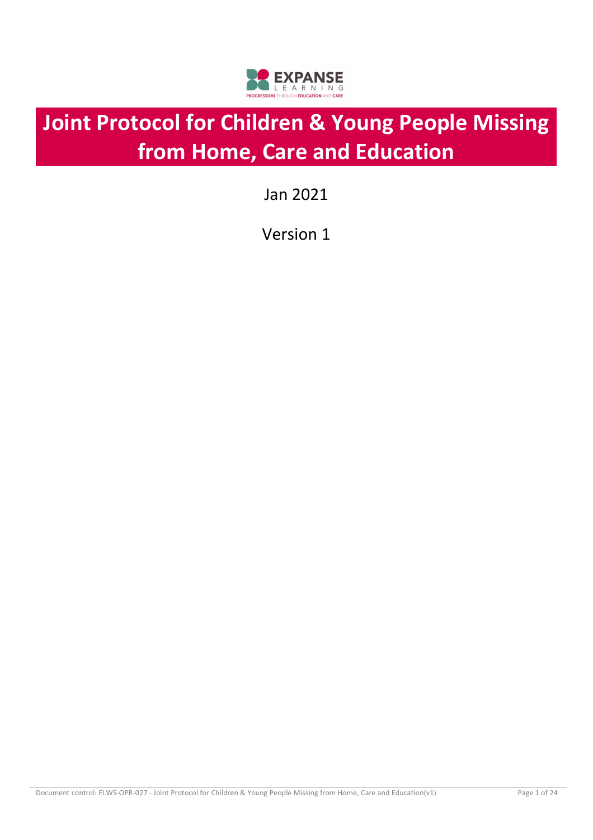

# **Joint Protocol for Children & Young People Missing from Home, Care and Education**

Jan 2021

Version 1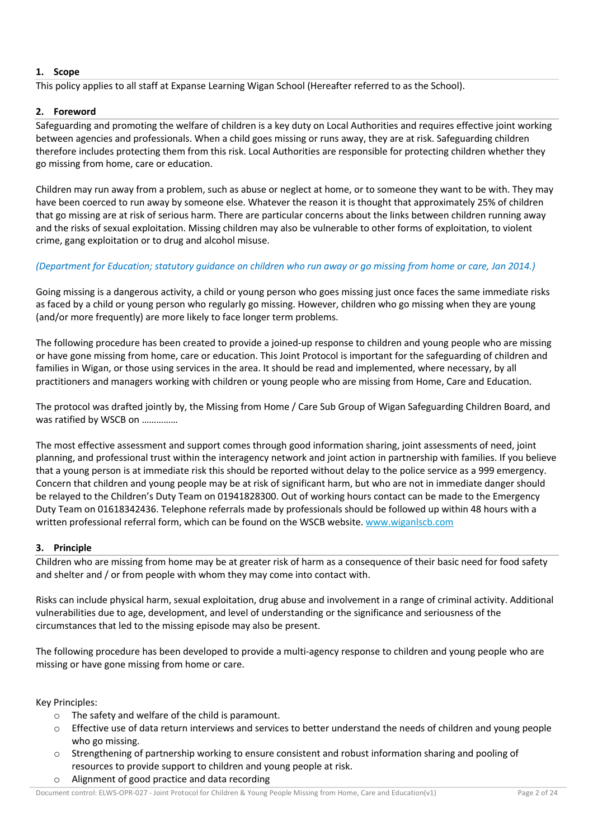## **1. Scope**

This policy applies to all staff at Expanse Learning Wigan School (Hereafter referred to as the School).

## **2. Foreword**

Safeguarding and promoting the welfare of children is a key duty on Local Authorities and requires effective joint working between agencies and professionals. When a child goes missing or runs away, they are at risk. Safeguarding children therefore includes protecting them from this risk. Local Authorities are responsible for protecting children whether they go missing from home, care or education.

Children may run away from a problem, such as abuse or neglect at home, or to someone they want to be with. They may have been coerced to run away by someone else. Whatever the reason it is thought that approximately 25% of children that go missing are at risk of serious harm. There are particular concerns about the links between children running away and the risks of sexual exploitation. Missing children may also be vulnerable to other forms of exploitation, to violent crime, gang exploitation or to drug and alcohol misuse.

## *(Department for Education; statutory guidance on children who run away or go missing from home or care, Jan 2014.)*

Going missing is a dangerous activity, a child or young person who goes missing just once faces the same immediate risks as faced by a child or young person who regularly go missing. However, children who go missing when they are young (and/or more frequently) are more likely to face longer term problems.

The following procedure has been created to provide a joined-up response to children and young people who are missing or have gone missing from home, care or education. This Joint Protocol is important for the safeguarding of children and families in Wigan, or those using services in the area. It should be read and implemented, where necessary, by all practitioners and managers working with children or young people who are missing from Home, Care and Education.

The protocol was drafted jointly by, the Missing from Home / Care Sub Group of Wigan Safeguarding Children Board, and was ratified by WSCB on ……………

The most effective assessment and support comes through good information sharing, joint assessments of need, joint planning, and professional trust within the interagency network and joint action in partnership with families. If you believe that a young person is at immediate risk this should be reported without delay to the police service as a 999 emergency. Concern that children and young people may be at risk of significant harm, but who are not in immediate danger should be relayed to the Children's Duty Team on 01941828300. Out of working hours contact can be made to the Emergency Duty Team on 01618342436. Telephone referrals made by professionals should be followed up within 48 hours with a written professional referral form, which can be found on the WSCB website. www.wiganlscb.com

## **3. Principle**

Children who are missing from home may be at greater risk of harm as a consequence of their basic need for food safety and shelter and / or from people with whom they may come into contact with.

Risks can include physical harm, sexual exploitation, drug abuse and involvement in a range of criminal activity. Additional vulnerabilities due to age, development, and level of understanding or the significance and seriousness of the circumstances that led to the missing episode may also be present.

The following procedure has been developed to provide a multi-agency response to children and young people who are missing or have gone missing from home or care.

Key Principles:

- o The safety and welfare of the child is paramount.
- $\circ$  Effective use of data return interviews and services to better understand the needs of children and young people who go missing.
- o Strengthening of partnership working to ensure consistent and robust information sharing and pooling of resources to provide support to children and young people at risk.
- o Alignment of good practice and data recording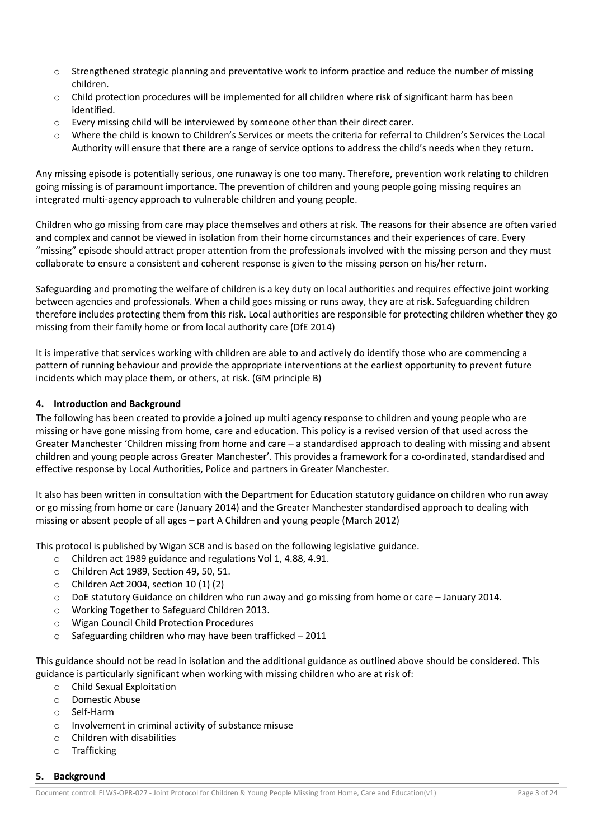- o Strengthened strategic planning and preventative work to inform practice and reduce the number of missing children.
- o Child protection procedures will be implemented for all children where risk of significant harm has been identified.
- o Every missing child will be interviewed by someone other than their direct carer.
- o Where the child is known to Children's Services or meets the criteria for referral to Children's Services the Local Authority will ensure that there are a range of service options to address the child's needs when they return.

Any missing episode is potentially serious, one runaway is one too many. Therefore, prevention work relating to children going missing is of paramount importance. The prevention of children and young people going missing requires an integrated multi-agency approach to vulnerable children and young people.

Children who go missing from care may place themselves and others at risk. The reasons for their absence are often varied and complex and cannot be viewed in isolation from their home circumstances and their experiences of care. Every "missing" episode should attract proper attention from the professionals involved with the missing person and they must collaborate to ensure a consistent and coherent response is given to the missing person on his/her return.

Safeguarding and promoting the welfare of children is a key duty on local authorities and requires effective joint working between agencies and professionals. When a child goes missing or runs away, they are at risk. Safeguarding children therefore includes protecting them from this risk. Local authorities are responsible for protecting children whether they go missing from their family home or from local authority care (DfE 2014)

It is imperative that services working with children are able to and actively do identify those who are commencing a pattern of running behaviour and provide the appropriate interventions at the earliest opportunity to prevent future incidents which may place them, or others, at risk. (GM principle B)

## **4. Introduction and Background**

The following has been created to provide a joined up multi agency response to children and young people who are missing or have gone missing from home, care and education. This policy is a revised version of that used across the Greater Manchester 'Children missing from home and care – a standardised approach to dealing with missing and absent children and young people across Greater Manchester'. This provides a framework for a co-ordinated, standardised and effective response by Local Authorities, Police and partners in Greater Manchester.

It also has been written in consultation with the Department for Education statutory guidance on children who run away or go missing from home or care (January 2014) and the Greater Manchester standardised approach to dealing with missing or absent people of all ages – part A Children and young people (March 2012)

This protocol is published by Wigan SCB and is based on the following legislative guidance.

- o Children act 1989 guidance and regulations Vol 1, 4.88, 4.91.
- o Children Act 1989, Section 49, 50, 51.
- o Children Act 2004, section 10 (1) (2)
- o DoE statutory Guidance on children who run away and go missing from home or care January 2014.
- o Working Together to Safeguard Children 2013.
- o Wigan Council Child Protection Procedures
- $\circ$  Safeguarding children who may have been trafficked 2011

This guidance should not be read in isolation and the additional guidance as outlined above should be considered. This guidance is particularly significant when working with missing children who are at risk of:

- o Child Sexual Exploitation
- o Domestic Abuse
- o Self-Harm
- o Involvement in criminal activity of substance misuse
- o Children with disabilities
- o Trafficking

## **5. Background**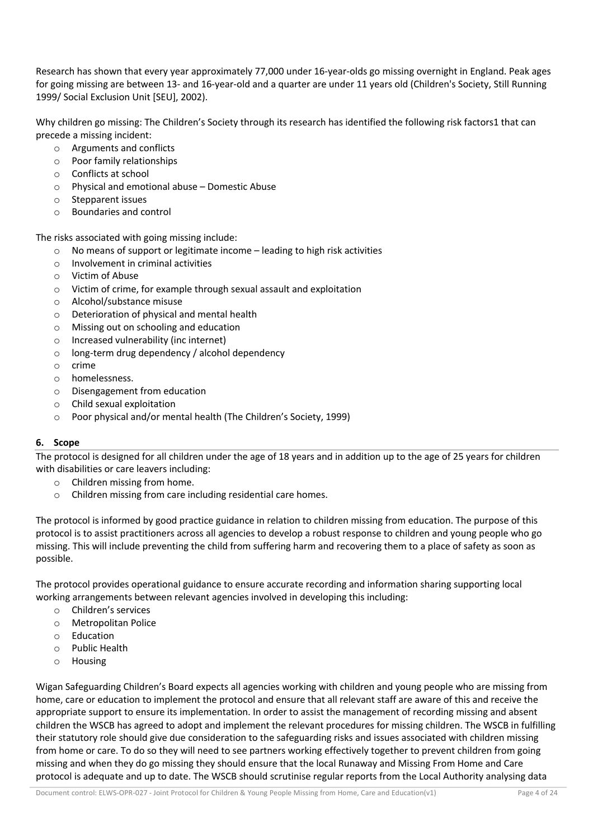Research has shown that every year approximately 77,000 under 16-year-olds go missing overnight in England. Peak ages for going missing are between 13- and 16-year-old and a quarter are under 11 years old (Children's Society, Still Running 1999/ Social Exclusion Unit [SEU], 2002).

Why children go missing: The Children's Society through its research has identified the following risk factors1 that can precede a missing incident:

- o Arguments and conflicts
- o Poor family relationships
- o Conflicts at school
- o Physical and emotional abuse Domestic Abuse
- o Stepparent issues
- o Boundaries and control

The risks associated with going missing include:

- o No means of support or legitimate income leading to high risk activities
- o Involvement in criminal activities
- o Victim of Abuse
- o Victim of crime, for example through sexual assault and exploitation
- o Alcohol/substance misuse
- o Deterioration of physical and mental health
- o Missing out on schooling and education
- o Increased vulnerability (inc internet)
- o long-term drug dependency / alcohol dependency
- o crime
- o homelessness.
- o Disengagement from education
- o Child sexual exploitation
- o Poor physical and/or mental health (The Children's Society, 1999)

## **6. Scope**

The protocol is designed for all children under the age of 18 years and in addition up to the age of 25 years for children with disabilities or care leavers including:

- o Children missing from home.
- o Children missing from care including residential care homes.

The protocol is informed by good practice guidance in relation to children missing from education. The purpose of this protocol is to assist practitioners across all agencies to develop a robust response to children and young people who go missing. This will include preventing the child from suffering harm and recovering them to a place of safety as soon as possible.

The protocol provides operational guidance to ensure accurate recording and information sharing supporting local working arrangements between relevant agencies involved in developing this including:

- o Children's services
- o Metropolitan Police
- o Education
- o Public Health
- o Housing

Wigan Safeguarding Children's Board expects all agencies working with children and young people who are missing from home, care or education to implement the protocol and ensure that all relevant staff are aware of this and receive the appropriate support to ensure its implementation. In order to assist the management of recording missing and absent children the WSCB has agreed to adopt and implement the relevant procedures for missing children. The WSCB in fulfilling their statutory role should give due consideration to the safeguarding risks and issues associated with children missing from home or care. To do so they will need to see partners working effectively together to prevent children from going missing and when they do go missing they should ensure that the local Runaway and Missing From Home and Care protocol is adequate and up to date. The WSCB should scrutinise regular reports from the Local Authority analysing data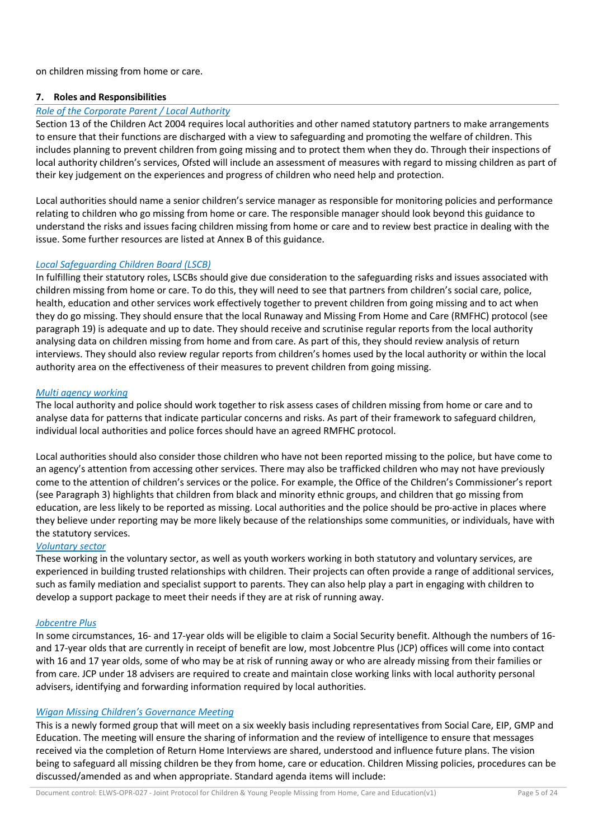on children missing from home or care.

## **7. Roles and Responsibilities**

#### *Role of the Corporate Parent / Local Authority*

Section 13 of the Children Act 2004 requires local authorities and other named statutory partners to make arrangements to ensure that their functions are discharged with a view to safeguarding and promoting the welfare of children. This includes planning to prevent children from going missing and to protect them when they do. Through their inspections of local authority children's services, Ofsted will include an assessment of measures with regard to missing children as part of their key judgement on the experiences and progress of children who need help and protection.

Local authorities should name a senior children's service manager as responsible for monitoring policies and performance relating to children who go missing from home or care. The responsible manager should look beyond this guidance to understand the risks and issues facing children missing from home or care and to review best practice in dealing with the issue. Some further resources are listed at Annex B of this guidance.

#### *Local Safeguarding Children Board (LSCB)*

In fulfilling their statutory roles, LSCBs should give due consideration to the safeguarding risks and issues associated with children missing from home or care. To do this, they will need to see that partners from children's social care, police, health, education and other services work effectively together to prevent children from going missing and to act when they do go missing. They should ensure that the local Runaway and Missing From Home and Care (RMFHC) protocol (see paragraph 19) is adequate and up to date. They should receive and scrutinise regular reports from the local authority analysing data on children missing from home and from care. As part of this, they should review analysis of return interviews. They should also review regular reports from children's homes used by the local authority or within the local authority area on the effectiveness of their measures to prevent children from going missing.

#### *Multi agency working*

The local authority and police should work together to risk assess cases of children missing from home or care and to analyse data for patterns that indicate particular concerns and risks. As part of their framework to safeguard children, individual local authorities and police forces should have an agreed RMFHC protocol.

Local authorities should also consider those children who have not been reported missing to the police, but have come to an agency's attention from accessing other services. There may also be trafficked children who may not have previously come to the attention of children's services or the police. For example, the Office of the Children's Commissioner's report (see Paragraph 3) highlights that children from black and minority ethnic groups, and children that go missing from education, are less likely to be reported as missing. Local authorities and the police should be pro-active in places where they believe under reporting may be more likely because of the relationships some communities, or individuals, have with the statutory services.

## *Voluntary sector*

These working in the voluntary sector, as well as youth workers working in both statutory and voluntary services, are experienced in building trusted relationships with children. Their projects can often provide a range of additional services, such as family mediation and specialist support to parents. They can also help play a part in engaging with children to develop a support package to meet their needs if they are at risk of running away.

## *Jobcentre Plus*

In some circumstances, 16- and 17-year olds will be eligible to claim a Social Security benefit. Although the numbers of 16 and 17-year olds that are currently in receipt of benefit are low, most Jobcentre Plus (JCP) offices will come into contact with 16 and 17 year olds, some of who may be at risk of running away or who are already missing from their families or from care. JCP under 18 advisers are required to create and maintain close working links with local authority personal advisers, identifying and forwarding information required by local authorities.

## *Wigan Missing Children's Governance Meeting*

This is a newly formed group that will meet on a six weekly basis including representatives from Social Care, EIP, GMP and Education. The meeting will ensure the sharing of information and the review of intelligence to ensure that messages received via the completion of Return Home Interviews are shared, understood and influence future plans. The vision being to safeguard all missing children be they from home, care or education. Children Missing policies, procedures can be discussed/amended as and when appropriate. Standard agenda items will include: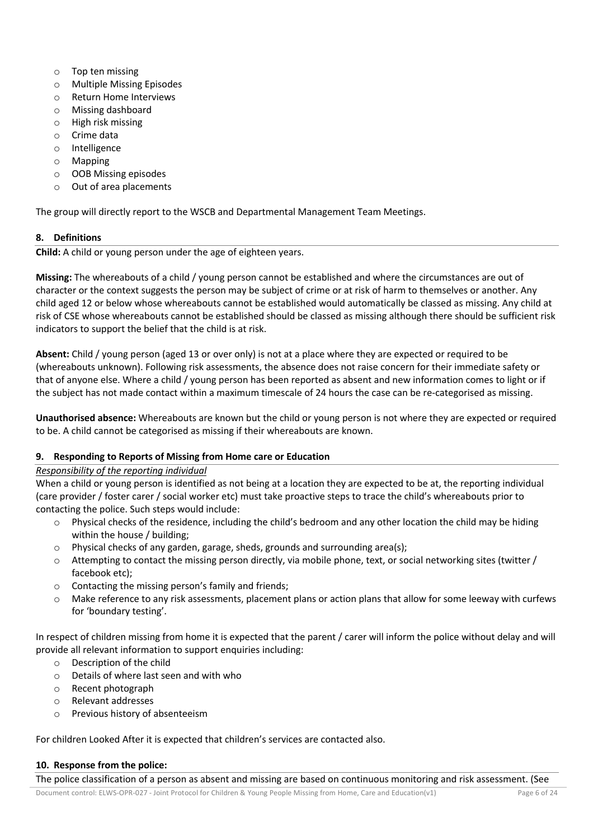- o Top ten missing
- o Multiple Missing Episodes
- o Return Home Interviews
- o Missing dashboard
- o High risk missing
- o Crime data
- o Intelligence
- o Mapping
- o OOB Missing episodes
- o Out of area placements

The group will directly report to the WSCB and Departmental Management Team Meetings.

# **8. Definitions**

**Child:** A child or young person under the age of eighteen years.

**Missing:** The whereabouts of a child / young person cannot be established and where the circumstances are out of character or the context suggests the person may be subject of crime or at risk of harm to themselves or another. Any child aged 12 or below whose whereabouts cannot be established would automatically be classed as missing. Any child at risk of CSE whose whereabouts cannot be established should be classed as missing although there should be sufficient risk indicators to support the belief that the child is at risk.

**Absent:** Child / young person (aged 13 or over only) is not at a place where they are expected or required to be (whereabouts unknown). Following risk assessments, the absence does not raise concern for their immediate safety or that of anyone else. Where a child / young person has been reported as absent and new information comes to light or if the subject has not made contact within a maximum timescale of 24 hours the case can be re-categorised as missing.

**Unauthorised absence:** Whereabouts are known but the child or young person is not where they are expected or required to be. A child cannot be categorised as missing if their whereabouts are known.

# **9. Responding to Reports of Missing from Home care or Education**

# *Responsibility of the reporting individual*

When a child or young person is identified as not being at a location they are expected to be at, the reporting individual (care provider / foster carer / social worker etc) must take proactive steps to trace the child's whereabouts prior to contacting the police. Such steps would include:

- $\circ$  Physical checks of the residence, including the child's bedroom and any other location the child may be hiding within the house / building;
- o Physical checks of any garden, garage, sheds, grounds and surrounding area(s);
- $\circ$  Attempting to contact the missing person directly, via mobile phone, text, or social networking sites (twitter / facebook etc);
- o Contacting the missing person's family and friends;
- $\circ$  Make reference to any risk assessments, placement plans or action plans that allow for some leeway with curfews for 'boundary testing'.

In respect of children missing from home it is expected that the parent / carer will inform the police without delay and will provide all relevant information to support enquiries including:

- o Description of the child
- o Details of where last seen and with who
- o Recent photograph
- o Relevant addresses
- o Previous history of absenteeism

For children Looked After it is expected that children's services are contacted also.

## **10. Response from the police:**

The police classification of a person as absent and missing are based on continuous monitoring and risk assessment. (See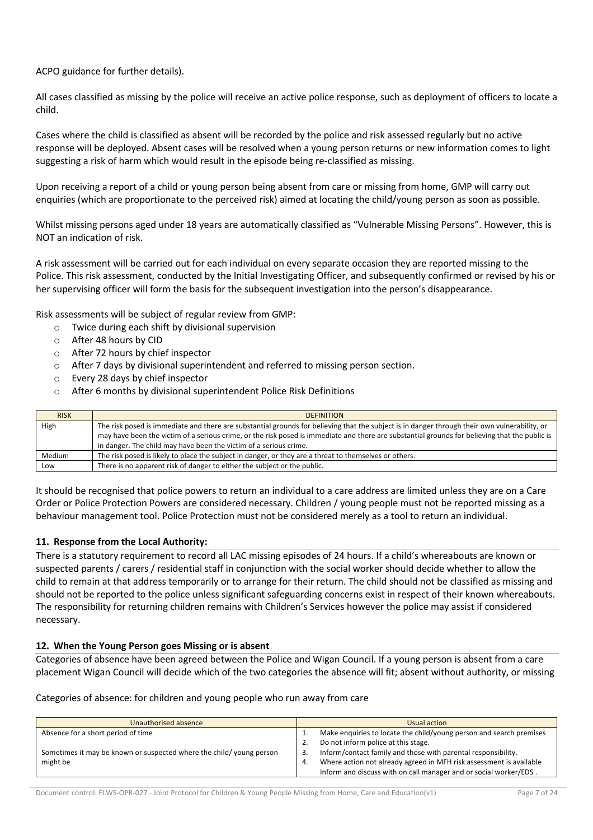ACPO guidance for further details).

All cases classified as missing by the police will receive an active police response, such as deployment of officers to locate a child.

Cases where the child is classified as absent will be recorded by the police and risk assessed regularly but no active response will be deployed. Absent cases will be resolved when a young person returns or new information comes to light suggesting a risk of harm which would result in the episode being re-classified as missing.

Upon receiving a report of a child or young person being absent from care or missing from home, GMP will carry out enquiries (which are proportionate to the perceived risk) aimed at locating the child/young person as soon as possible.

Whilst missing persons aged under 18 years are automatically classified as "Vulnerable Missing Persons". However, this is NOT an indication of risk.

A risk assessment will be carried out for each individual on every separate occasion they are reported missing to the Police. This risk assessment, conducted by the Initial Investigating Officer, and subsequently confirmed or revised by his or her supervising officer will form the basis for the subsequent investigation into the person's disappearance.

Risk assessments will be subject of regular review from GMP:

- o Twice during each shift by divisional supervision
- o After 48 hours by CID
- o After 72 hours by chief inspector
- o After 7 days by divisional superintendent and referred to missing person section.
- o Every 28 days by chief inspector
- o After 6 months by divisional superintendent Police Risk Definitions

| <b>RISK</b>   | <b>DEFINITION</b>                                                                                                                              |
|---------------|------------------------------------------------------------------------------------------------------------------------------------------------|
| High          | The risk posed is immediate and there are substantial grounds for believing that the subject is in danger through their own vulnerability, or  |
|               | may have been the victim of a serious crime, or the risk posed is immediate and there are substantial grounds for believing that the public is |
|               | in danger. The child may have been the victim of a serious crime.                                                                              |
| <b>Medium</b> | The risk posed is likely to place the subject in danger, or they are a threat to themselves or others.                                         |
| Low           | There is no apparent risk of danger to either the subject or the public.                                                                       |

It should be recognised that police powers to return an individual to a care address are limited unless they are on a Care Order or Police Protection Powers are considered necessary. Children / young people must not be reported missing as a behaviour management tool. Police Protection must not be considered merely as a tool to return an individual.

#### **11. Response from the Local Authority:**

There is a statutory requirement to record all LAC missing episodes of 24 hours. If a child's whereabouts are known or suspected parents / carers / residential staff in conjunction with the social worker should decide whether to allow the child to remain at that address temporarily or to arrange for their return. The child should not be classified as missing and should not be reported to the police unless significant safeguarding concerns exist in respect of their known whereabouts. The responsibility for returning children remains with Children's Services however the police may assist if considered necessary.

#### **12. When the Young Person goes Missing or is absent**

Categories of absence have been agreed between the Police and Wigan Council. If a young person is absent from a care placement Wigan Council will decide which of the two categories the absence will fit; absent without authority, or missing

Categories of absence: for children and young people who run away from care

| Unauthorised absence                                                | Usual action                                                               |  |
|---------------------------------------------------------------------|----------------------------------------------------------------------------|--|
| Absence for a short period of time                                  | Make enquiries to locate the child/young person and search premises<br>д., |  |
|                                                                     | Do not inform police at this stage.<br>2.                                  |  |
| Sometimes it may be known or suspected where the child/young person | Inform/contact family and those with parental responsibility.<br>3.        |  |
| might be                                                            | Where action not already agreed in MFH risk assessment is available<br>4.  |  |
|                                                                     | Inform and discuss with on call manager and or social worker/EDS.          |  |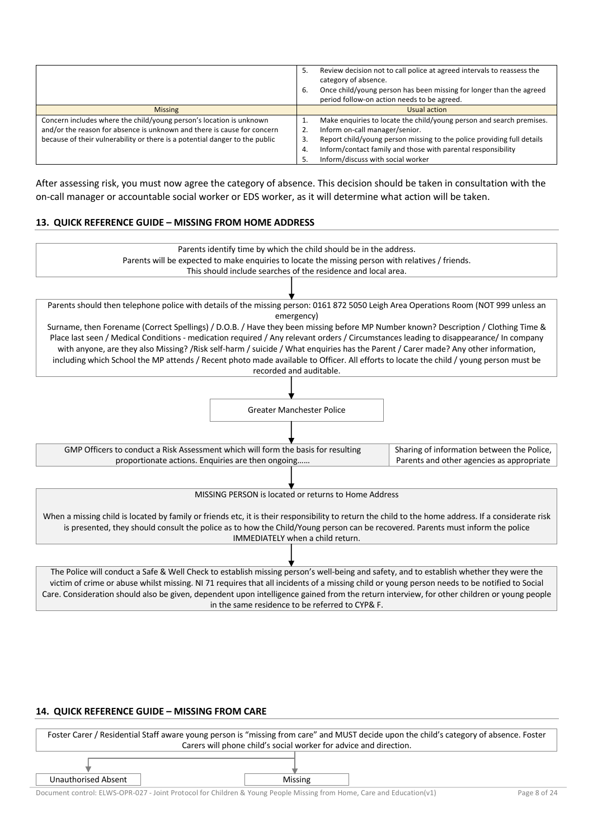|                                                                             | Review decision not to call police at agreed intervals to reassess the<br>5.<br>category of absence.<br>Once child/young person has been missing for longer than the agreed<br>6.<br>period follow-on action needs to be agreed. |
|-----------------------------------------------------------------------------|----------------------------------------------------------------------------------------------------------------------------------------------------------------------------------------------------------------------------------|
| <b>Missing</b>                                                              | Usual action                                                                                                                                                                                                                     |
| Concern includes where the child/young person's location is unknown         | Make enquiries to locate the child/young person and search premises.                                                                                                                                                             |
| and/or the reason for absence is unknown and there is cause for concern     | Inform on-call manager/senior.                                                                                                                                                                                                   |
| because of their vulnerability or there is a potential danger to the public | Report child/young person missing to the police providing full details<br>3.                                                                                                                                                     |
|                                                                             | Inform/contact family and those with parental responsibility<br>4.                                                                                                                                                               |
|                                                                             | Inform/discuss with social worker<br>5.                                                                                                                                                                                          |

After assessing risk, you must now agree the category of absence. This decision should be taken in consultation with the on-call manager or accountable social worker or EDS worker, as it will determine what action will be taken.

#### **13. QUICK REFERENCE GUIDE – MISSING FROM HOME ADDRESS**



in the same residence to be referred to CYP& F.

#### **14. QUICK REFERENCE GUIDE – MISSING FROM CARE**



Document control: ELWS-OPR-027 - Joint Protocol for Children & Young People Missing from Home, Care and Education(v1) Page 8 of 24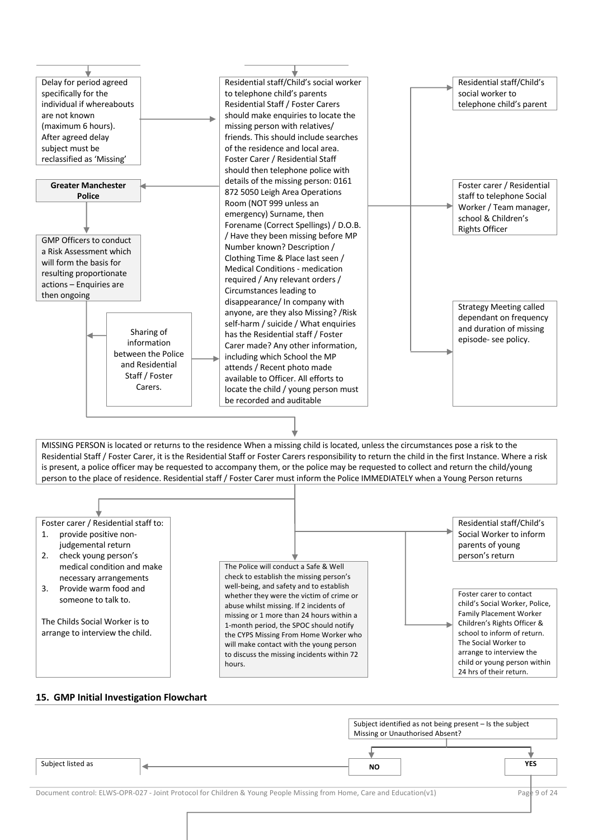

#### **15. GMP Initial Investigation Flowchart**

|                   |                                                                                                                       | Subject identified as not being present - Is the subject<br>Missing or Unauthorised Absent? |  |  |
|-------------------|-----------------------------------------------------------------------------------------------------------------------|---------------------------------------------------------------------------------------------|--|--|
| Subject listed as | <b>NO</b>                                                                                                             | <b>YES</b>                                                                                  |  |  |
|                   | Document control: ELWS-OPR-027 - Joint Protocol for Children & Young People Missing from Home, Care and Education(v1) | Page 9 of 24                                                                                |  |  |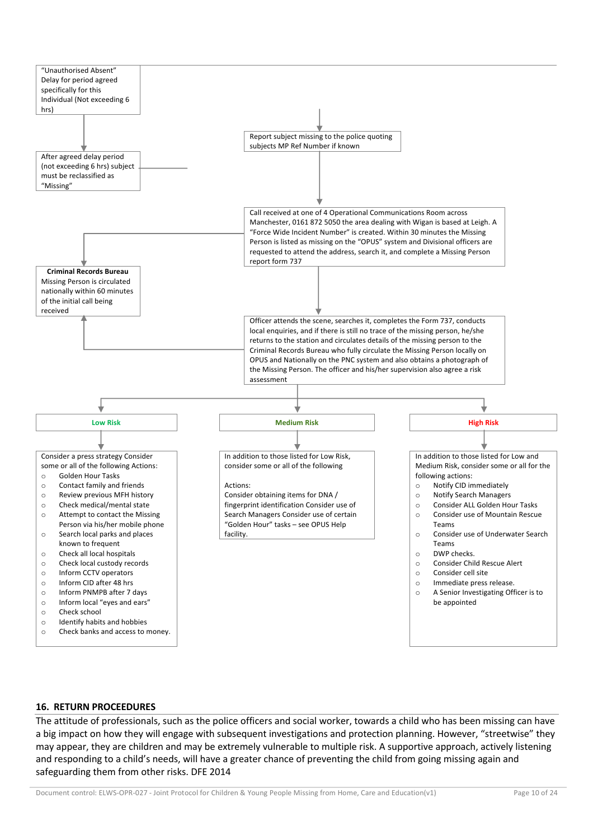

#### **16. RETURN PROCEEDURES**

The attitude of professionals, such as the police officers and social worker, towards a child who has been missing can have a big impact on how they will engage with subsequent investigations and protection planning. However, "streetwise" they may appear, they are children and may be extremely vulnerable to multiple risk. A supportive approach, actively listening and responding to a child's needs, will have a greater chance of preventing the child from going missing again and safeguarding them from other risks. DFE 2014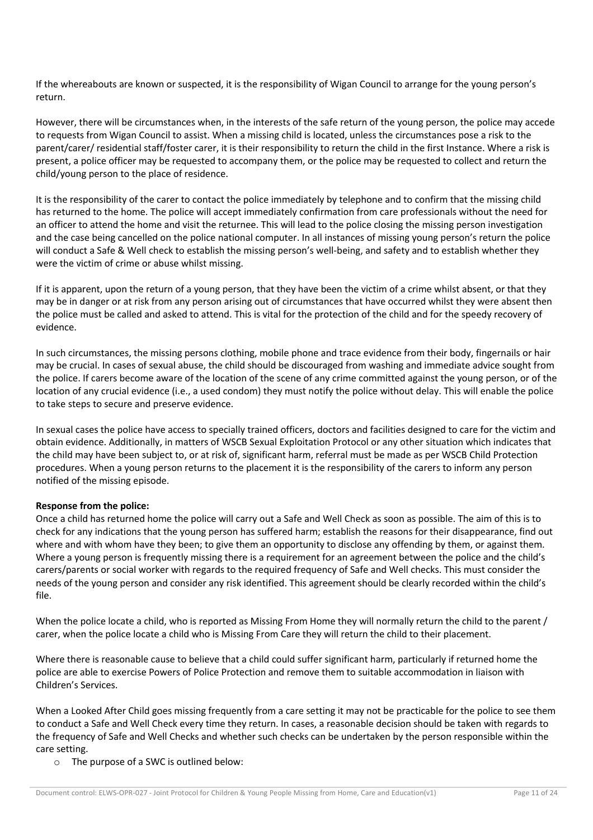If the whereabouts are known or suspected, it is the responsibility of Wigan Council to arrange for the young person's return.

However, there will be circumstances when, in the interests of the safe return of the young person, the police may accede to requests from Wigan Council to assist. When a missing child is located, unless the circumstances pose a risk to the parent/carer/ residential staff/foster carer, it is their responsibility to return the child in the first Instance. Where a risk is present, a police officer may be requested to accompany them, or the police may be requested to collect and return the child/young person to the place of residence.

It is the responsibility of the carer to contact the police immediately by telephone and to confirm that the missing child has returned to the home. The police will accept immediately confirmation from care professionals without the need for an officer to attend the home and visit the returnee. This will lead to the police closing the missing person investigation and the case being cancelled on the police national computer. In all instances of missing young person's return the police will conduct a Safe & Well check to establish the missing person's well-being, and safety and to establish whether they were the victim of crime or abuse whilst missing.

If it is apparent, upon the return of a young person, that they have been the victim of a crime whilst absent, or that they may be in danger or at risk from any person arising out of circumstances that have occurred whilst they were absent then the police must be called and asked to attend. This is vital for the protection of the child and for the speedy recovery of evidence.

In such circumstances, the missing persons clothing, mobile phone and trace evidence from their body, fingernails or hair may be crucial. In cases of sexual abuse, the child should be discouraged from washing and immediate advice sought from the police. If carers become aware of the location of the scene of any crime committed against the young person, or of the location of any crucial evidence (i.e., a used condom) they must notify the police without delay. This will enable the police to take steps to secure and preserve evidence.

In sexual cases the police have access to specially trained officers, doctors and facilities designed to care for the victim and obtain evidence. Additionally, in matters of WSCB Sexual Exploitation Protocol or any other situation which indicates that the child may have been subject to, or at risk of, significant harm, referral must be made as per WSCB Child Protection procedures. When a young person returns to the placement it is the responsibility of the carers to inform any person notified of the missing episode.

## **Response from the police:**

Once a child has returned home the police will carry out a Safe and Well Check as soon as possible. The aim of this is to check for any indications that the young person has suffered harm; establish the reasons for their disappearance, find out where and with whom have they been; to give them an opportunity to disclose any offending by them, or against them. Where a young person is frequently missing there is a requirement for an agreement between the police and the child's carers/parents or social worker with regards to the required frequency of Safe and Well checks. This must consider the needs of the young person and consider any risk identified. This agreement should be clearly recorded within the child's file.

When the police locate a child, who is reported as Missing From Home they will normally return the child to the parent / carer, when the police locate a child who is Missing From Care they will return the child to their placement.

Where there is reasonable cause to believe that a child could suffer significant harm, particularly if returned home the police are able to exercise Powers of Police Protection and remove them to suitable accommodation in liaison with Children's Services.

When a Looked After Child goes missing frequently from a care setting it may not be practicable for the police to see them to conduct a Safe and Well Check every time they return. In cases, a reasonable decision should be taken with regards to the frequency of Safe and Well Checks and whether such checks can be undertaken by the person responsible within the care setting.

o The purpose of a SWC is outlined below: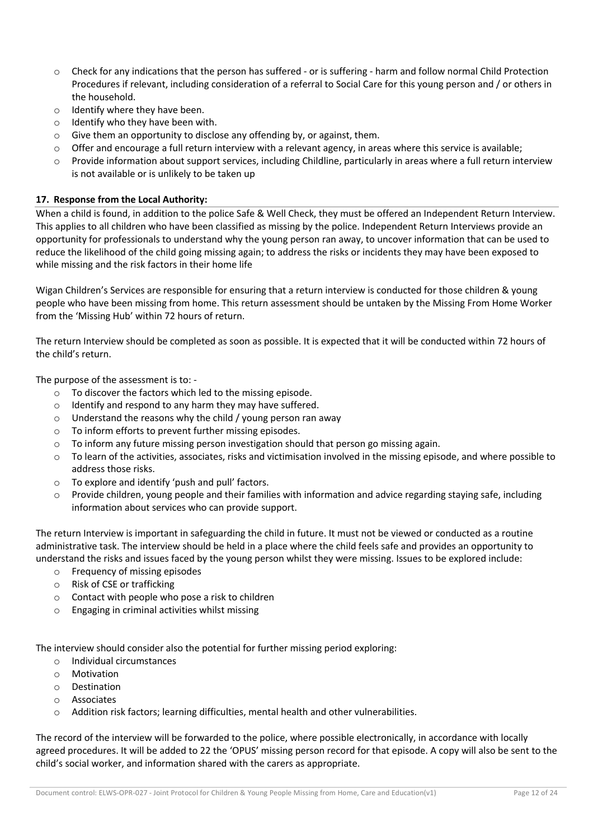- o Check for any indications that the person has suffered or is suffering harm and follow normal Child Protection Procedures if relevant, including consideration of a referral to Social Care for this young person and / or others in the household.
- o Identify where they have been.
- o Identify who they have been with.
- o Give them an opportunity to disclose any offending by, or against, them.
- $\circ$  Offer and encourage a full return interview with a relevant agency, in areas where this service is available;
- $\circ$  Provide information about support services, including Childline, particularly in areas where a full return interview is not available or is unlikely to be taken up

#### **17. Response from the Local Authority:**

When a child is found, in addition to the police Safe & Well Check, they must be offered an Independent Return Interview. This applies to all children who have been classified as missing by the police. Independent Return Interviews provide an opportunity for professionals to understand why the young person ran away, to uncover information that can be used to reduce the likelihood of the child going missing again; to address the risks or incidents they may have been exposed to while missing and the risk factors in their home life

Wigan Children's Services are responsible for ensuring that a return interview is conducted for those children & young people who have been missing from home. This return assessment should be untaken by the Missing From Home Worker from the 'Missing Hub' within 72 hours of return.

The return Interview should be completed as soon as possible. It is expected that it will be conducted within 72 hours of the child's return.

The purpose of the assessment is to: -

- o To discover the factors which led to the missing episode.
- o Identify and respond to any harm they may have suffered.
- o Understand the reasons why the child / young person ran away
- o To inform efforts to prevent further missing episodes.
- $\circ$  To inform any future missing person investigation should that person go missing again.
- $\circ$  To learn of the activities, associates, risks and victimisation involved in the missing episode, and where possible to address those risks.
- o To explore and identify 'push and pull' factors.
- Provide children, young people and their families with information and advice regarding staying safe, including information about services who can provide support.

The return Interview is important in safeguarding the child in future. It must not be viewed or conducted as a routine administrative task. The interview should be held in a place where the child feels safe and provides an opportunity to understand the risks and issues faced by the young person whilst they were missing. Issues to be explored include:

- o Frequency of missing episodes
- o Risk of CSE or trafficking
- o Contact with people who pose a risk to children
- o Engaging in criminal activities whilst missing

The interview should consider also the potential for further missing period exploring:

- o Individual circumstances
- o Motivation
- o Destination
- o Associates
- o Addition risk factors; learning difficulties, mental health and other vulnerabilities.

The record of the interview will be forwarded to the police, where possible electronically, in accordance with locally agreed procedures. It will be added to 22 the 'OPUS' missing person record for that episode. A copy will also be sent to the child's social worker, and information shared with the carers as appropriate.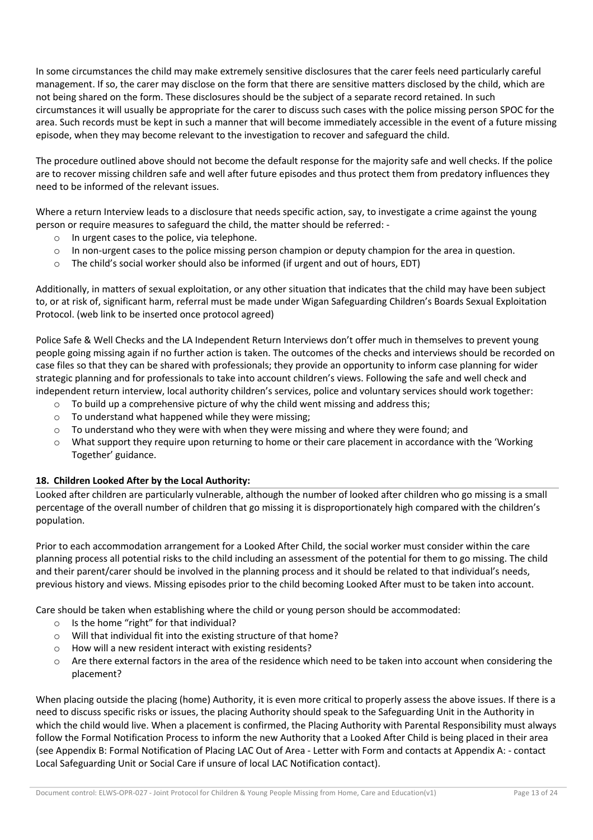In some circumstances the child may make extremely sensitive disclosures that the carer feels need particularly careful management. If so, the carer may disclose on the form that there are sensitive matters disclosed by the child, which are not being shared on the form. These disclosures should be the subject of a separate record retained. In such circumstances it will usually be appropriate for the carer to discuss such cases with the police missing person SPOC for the area. Such records must be kept in such a manner that will become immediately accessible in the event of a future missing episode, when they may become relevant to the investigation to recover and safeguard the child.

The procedure outlined above should not become the default response for the majority safe and well checks. If the police are to recover missing children safe and well after future episodes and thus protect them from predatory influences they need to be informed of the relevant issues.

Where a return Interview leads to a disclosure that needs specific action, say, to investigate a crime against the young person or require measures to safeguard the child, the matter should be referred: -

- o In urgent cases to the police, via telephone.
- $\circ$  In non-urgent cases to the police missing person champion or deputy champion for the area in question.
- o The child's social worker should also be informed (if urgent and out of hours, EDT)

Additionally, in matters of sexual exploitation, or any other situation that indicates that the child may have been subject to, or at risk of, significant harm, referral must be made under Wigan Safeguarding Children's Boards Sexual Exploitation Protocol. (web link to be inserted once protocol agreed)

Police Safe & Well Checks and the LA Independent Return Interviews don't offer much in themselves to prevent young people going missing again if no further action is taken. The outcomes of the checks and interviews should be recorded on case files so that they can be shared with professionals; they provide an opportunity to inform case planning for wider strategic planning and for professionals to take into account children's views. Following the safe and well check and independent return interview, local authority children's services, police and voluntary services should work together:

- $\circ$  To build up a comprehensive picture of why the child went missing and address this;
- o To understand what happened while they were missing;
- $\circ$  To understand who they were with when they were missing and where they were found; and
- o What support they require upon returning to home or their care placement in accordance with the 'Working Together' guidance.

## **18. Children Looked After by the Local Authority:**

Looked after children are particularly vulnerable, although the number of looked after children who go missing is a small percentage of the overall number of children that go missing it is disproportionately high compared with the children's population.

Prior to each accommodation arrangement for a Looked After Child, the social worker must consider within the care planning process all potential risks to the child including an assessment of the potential for them to go missing. The child and their parent/carer should be involved in the planning process and it should be related to that individual's needs, previous history and views. Missing episodes prior to the child becoming Looked After must to be taken into account.

Care should be taken when establishing where the child or young person should be accommodated:

- o Is the home "right" for that individual?
- o Will that individual fit into the existing structure of that home?
- o How will a new resident interact with existing residents?
- $\circ$  Are there external factors in the area of the residence which need to be taken into account when considering the placement?

When placing outside the placing (home) Authority, it is even more critical to properly assess the above issues. If there is a need to discuss specific risks or issues, the placing Authority should speak to the Safeguarding Unit in the Authority in which the child would live. When a placement is confirmed, the Placing Authority with Parental Responsibility must always follow the Formal Notification Process to inform the new Authority that a Looked After Child is being placed in their area (see Appendix B: Formal Notification of Placing LAC Out of Area - Letter with Form and contacts at Appendix A: - contact Local Safeguarding Unit or Social Care if unsure of local LAC Notification contact).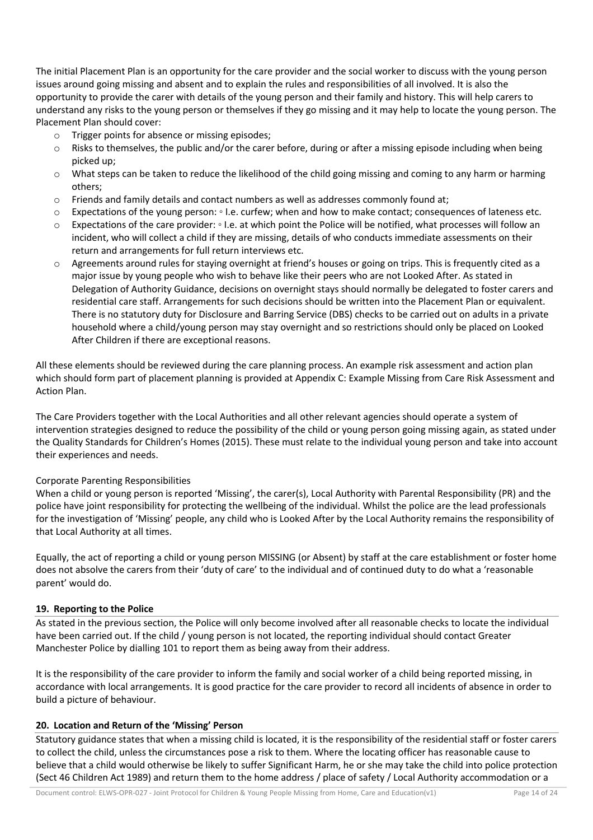The initial Placement Plan is an opportunity for the care provider and the social worker to discuss with the young person issues around going missing and absent and to explain the rules and responsibilities of all involved. It is also the opportunity to provide the carer with details of the young person and their family and history. This will help carers to understand any risks to the young person or themselves if they go missing and it may help to locate the young person. The Placement Plan should cover:

- o Trigger points for absence or missing episodes;
- $\circ$  Risks to themselves, the public and/or the carer before, during or after a missing episode including when being picked up;
- $\circ$  What steps can be taken to reduce the likelihood of the child going missing and coming to any harm or harming others;
- o Friends and family details and contact numbers as well as addresses commonly found at;
- o Expectations of the young person: I.e. curfew; when and how to make contact; consequences of lateness etc.
- o Expectations of the care provider: I.e. at which point the Police will be notified, what processes will follow an incident, who will collect a child if they are missing, details of who conducts immediate assessments on their return and arrangements for full return interviews etc.
- o Agreements around rules for staying overnight at friend's houses or going on trips. This is frequently cited as a major issue by young people who wish to behave like their peers who are not Looked After. As stated in Delegation of Authority Guidance, decisions on overnight stays should normally be delegated to foster carers and residential care staff. Arrangements for such decisions should be written into the Placement Plan or equivalent. There is no statutory duty for Disclosure and Barring Service (DBS) checks to be carried out on adults in a private household where a child/young person may stay overnight and so restrictions should only be placed on Looked After Children if there are exceptional reasons.

All these elements should be reviewed during the care planning process. An example risk assessment and action plan which should form part of placement planning is provided at Appendix C: Example Missing from Care Risk Assessment and Action Plan.

The Care Providers together with the Local Authorities and all other relevant agencies should operate a system of intervention strategies designed to reduce the possibility of the child or young person going missing again, as stated under the Quality Standards for Children's Homes (2015). These must relate to the individual young person and take into account their experiences and needs.

## Corporate Parenting Responsibilities

When a child or young person is reported 'Missing', the carer(s), Local Authority with Parental Responsibility (PR) and the police have joint responsibility for protecting the wellbeing of the individual. Whilst the police are the lead professionals for the investigation of 'Missing' people, any child who is Looked After by the Local Authority remains the responsibility of that Local Authority at all times.

Equally, the act of reporting a child or young person MISSING (or Absent) by staff at the care establishment or foster home does not absolve the carers from their 'duty of care' to the individual and of continued duty to do what a 'reasonable parent' would do.

## **19. Reporting to the Police**

As stated in the previous section, the Police will only become involved after all reasonable checks to locate the individual have been carried out. If the child / young person is not located, the reporting individual should contact Greater Manchester Police by dialling 101 to report them as being away from their address.

It is the responsibility of the care provider to inform the family and social worker of a child being reported missing, in accordance with local arrangements. It is good practice for the care provider to record all incidents of absence in order to build a picture of behaviour.

## **20. Location and Return of the 'Missing' Person**

Statutory guidance states that when a missing child is located, it is the responsibility of the residential staff or foster carers to collect the child, unless the circumstances pose a risk to them. Where the locating officer has reasonable cause to believe that a child would otherwise be likely to suffer Significant Harm, he or she may take the child into police protection (Sect 46 Children Act 1989) and return them to the home address / place of safety / Local Authority accommodation or a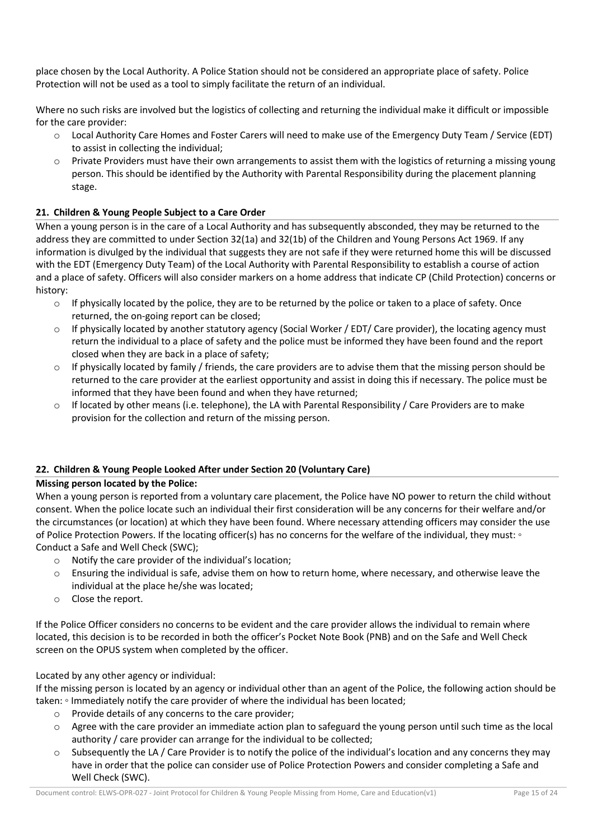place chosen by the Local Authority. A Police Station should not be considered an appropriate place of safety. Police Protection will not be used as a tool to simply facilitate the return of an individual.

Where no such risks are involved but the logistics of collecting and returning the individual make it difficult or impossible for the care provider:

- o Local Authority Care Homes and Foster Carers will need to make use of the Emergency Duty Team / Service (EDT) to assist in collecting the individual;
- $\circ$  Private Providers must have their own arrangements to assist them with the logistics of returning a missing young person. This should be identified by the Authority with Parental Responsibility during the placement planning stage.

## **21. Children & Young People Subject to a Care Order**

When a young person is in the care of a Local Authority and has subsequently absconded, they may be returned to the address they are committed to under Section 32(1a) and 32(1b) of the Children and Young Persons Act 1969. If any information is divulged by the individual that suggests they are not safe if they were returned home this will be discussed with the EDT (Emergency Duty Team) of the Local Authority with Parental Responsibility to establish a course of action and a place of safety. Officers will also consider markers on a home address that indicate CP (Child Protection) concerns or history:

- $\circ$  If physically located by the police, they are to be returned by the police or taken to a place of safety. Once returned, the on-going report can be closed;
- $\circ$  If physically located by another statutory agency (Social Worker / EDT/ Care provider), the locating agency must return the individual to a place of safety and the police must be informed they have been found and the report closed when they are back in a place of safety;
- $\circ$  If physically located by family / friends, the care providers are to advise them that the missing person should be returned to the care provider at the earliest opportunity and assist in doing this if necessary. The police must be informed that they have been found and when they have returned;
- If located by other means (i.e. telephone), the LA with Parental Responsibility / Care Providers are to make provision for the collection and return of the missing person.

## **22. Children & Young People Looked After under Section 20 (Voluntary Care)**

#### **Missing person located by the Police:**

When a young person is reported from a voluntary care placement, the Police have NO power to return the child without consent. When the police locate such an individual their first consideration will be any concerns for their welfare and/or the circumstances (or location) at which they have been found. Where necessary attending officers may consider the use of Police Protection Powers. If the locating officer(s) has no concerns for the welfare of the individual, they must: ◦ Conduct a Safe and Well Check (SWC);

- o Notify the care provider of the individual's location;
- $\circ$  Ensuring the individual is safe, advise them on how to return home, where necessary, and otherwise leave the individual at the place he/she was located;
- o Close the report.

If the Police Officer considers no concerns to be evident and the care provider allows the individual to remain where located, this decision is to be recorded in both the officer's Pocket Note Book (PNB) and on the Safe and Well Check screen on the OPUS system when completed by the officer.

## Located by any other agency or individual:

If the missing person is located by an agency or individual other than an agent of the Police, the following action should be taken: ∘ Immediately notify the care provider of where the individual has been located;

- o Provide details of any concerns to the care provider;
- $\circ$  Agree with the care provider an immediate action plan to safeguard the young person until such time as the local authority / care provider can arrange for the individual to be collected;
- Subsequently the LA / Care Provider is to notify the police of the individual's location and any concerns they may have in order that the police can consider use of Police Protection Powers and consider completing a Safe and Well Check (SWC).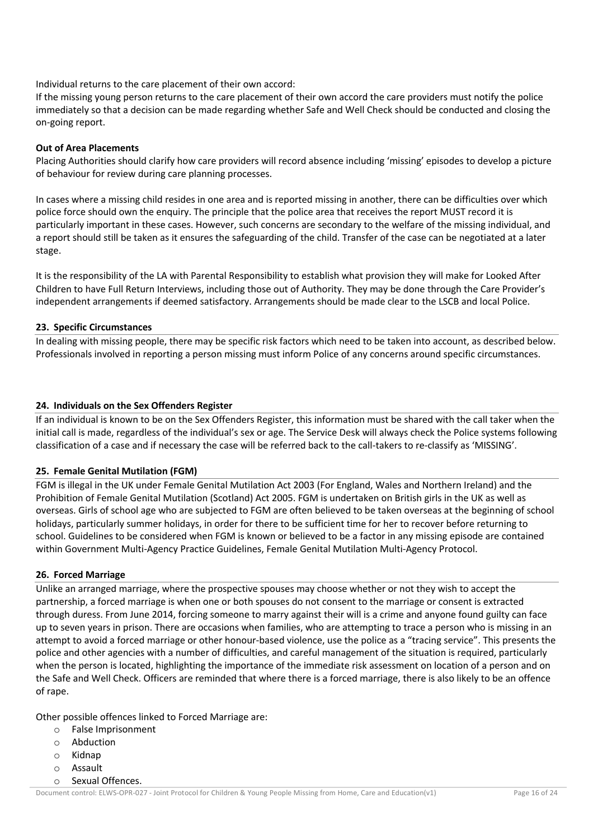Individual returns to the care placement of their own accord:

If the missing young person returns to the care placement of their own accord the care providers must notify the police immediately so that a decision can be made regarding whether Safe and Well Check should be conducted and closing the on-going report.

#### **Out of Area Placements**

Placing Authorities should clarify how care providers will record absence including 'missing' episodes to develop a picture of behaviour for review during care planning processes.

In cases where a missing child resides in one area and is reported missing in another, there can be difficulties over which police force should own the enquiry. The principle that the police area that receives the report MUST record it is particularly important in these cases. However, such concerns are secondary to the welfare of the missing individual, and a report should still be taken as it ensures the safeguarding of the child. Transfer of the case can be negotiated at a later stage.

It is the responsibility of the LA with Parental Responsibility to establish what provision they will make for Looked After Children to have Full Return Interviews, including those out of Authority. They may be done through the Care Provider's independent arrangements if deemed satisfactory. Arrangements should be made clear to the LSCB and local Police.

#### **23. Specific Circumstances**

In dealing with missing people, there may be specific risk factors which need to be taken into account, as described below. Professionals involved in reporting a person missing must inform Police of any concerns around specific circumstances.

#### **24. Individuals on the Sex Offenders Register**

If an individual is known to be on the Sex Offenders Register, this information must be shared with the call taker when the initial call is made, regardless of the individual's sex or age. The Service Desk will always check the Police systems following classification of a case and if necessary the case will be referred back to the call-takers to re-classify as 'MISSING'.

## **25. Female Genital Mutilation (FGM)**

FGM is illegal in the UK under Female Genital Mutilation Act 2003 (For England, Wales and Northern Ireland) and the Prohibition of Female Genital Mutilation (Scotland) Act 2005. FGM is undertaken on British girls in the UK as well as overseas. Girls of school age who are subjected to FGM are often believed to be taken overseas at the beginning of school holidays, particularly summer holidays, in order for there to be sufficient time for her to recover before returning to school. Guidelines to be considered when FGM is known or believed to be a factor in any missing episode are contained within Government Multi-Agency Practice Guidelines, Female Genital Mutilation Multi-Agency Protocol.

## **26. Forced Marriage**

Unlike an arranged marriage, where the prospective spouses may choose whether or not they wish to accept the partnership, a forced marriage is when one or both spouses do not consent to the marriage or consent is extracted through duress. From June 2014, forcing someone to marry against their will is a crime and anyone found guilty can face up to seven years in prison. There are occasions when families, who are attempting to trace a person who is missing in an attempt to avoid a forced marriage or other honour-based violence, use the police as a "tracing service". This presents the police and other agencies with a number of difficulties, and careful management of the situation is required, particularly when the person is located, highlighting the importance of the immediate risk assessment on location of a person and on the Safe and Well Check. Officers are reminded that where there is a forced marriage, there is also likely to be an offence of rape.

Other possible offences linked to Forced Marriage are:

- o False Imprisonment
- o Abduction
- o Kidnap
- o Assault
- o Sexual Offences.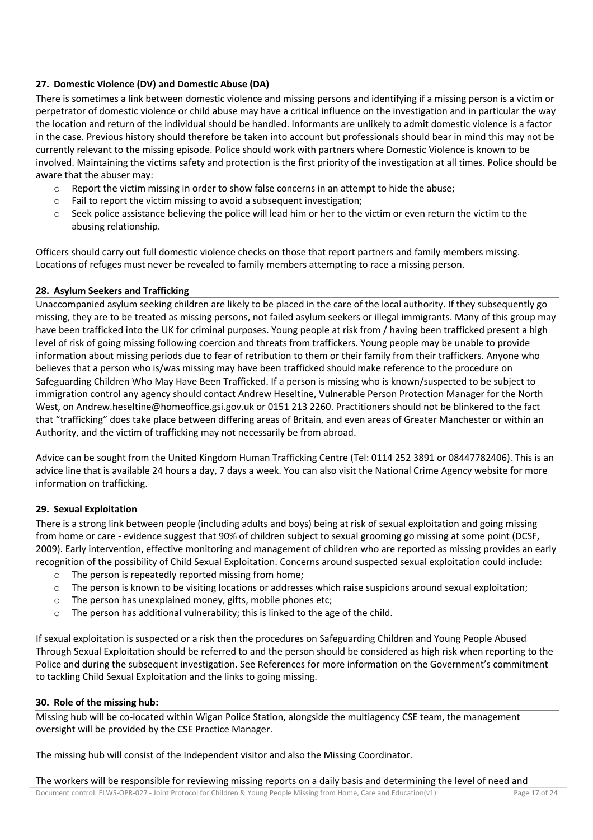## **27. Domestic Violence (DV) and Domestic Abuse (DA)**

There is sometimes a link between domestic violence and missing persons and identifying if a missing person is a victim or perpetrator of domestic violence or child abuse may have a critical influence on the investigation and in particular the way the location and return of the individual should be handled. Informants are unlikely to admit domestic violence is a factor in the case. Previous history should therefore be taken into account but professionals should bear in mind this may not be currently relevant to the missing episode. Police should work with partners where Domestic Violence is known to be involved. Maintaining the victims safety and protection is the first priority of the investigation at all times. Police should be aware that the abuser may:

- $\circ$  Report the victim missing in order to show false concerns in an attempt to hide the abuse;
- Fail to report the victim missing to avoid a subsequent investigation;
- $\circ$  Seek police assistance believing the police will lead him or her to the victim or even return the victim to the abusing relationship.

Officers should carry out full domestic violence checks on those that report partners and family members missing. Locations of refuges must never be revealed to family members attempting to race a missing person.

## **28. Asylum Seekers and Trafficking**

Unaccompanied asylum seeking children are likely to be placed in the care of the local authority. If they subsequently go missing, they are to be treated as missing persons, not failed asylum seekers or illegal immigrants. Many of this group may have been trafficked into the UK for criminal purposes. Young people at risk from / having been trafficked present a high level of risk of going missing following coercion and threats from traffickers. Young people may be unable to provide information about missing periods due to fear of retribution to them or their family from their traffickers. Anyone who believes that a person who is/was missing may have been trafficked should make reference to the procedure on Safeguarding Children Who May Have Been Trafficked. If a person is missing who is known/suspected to be subject to immigration control any agency should contact Andrew Heseltine, Vulnerable Person Protection Manager for the North West, on Andrew.heseltine@homeoffice.gsi.gov.uk or 0151 213 2260. Practitioners should not be blinkered to the fact that "trafficking" does take place between differing areas of Britain, and even areas of Greater Manchester or within an Authority, and the victim of trafficking may not necessarily be from abroad.

Advice can be sought from the United Kingdom Human Trafficking Centre (Tel: 0114 252 3891 or 08447782406). This is an advice line that is available 24 hours a day, 7 days a week. You can also visit the National Crime Agency website for more information on trafficking.

## **29. Sexual Exploitation**

There is a strong link between people (including adults and boys) being at risk of sexual exploitation and going missing from home or care - evidence suggest that 90% of children subject to sexual grooming go missing at some point (DCSF, 2009). Early intervention, effective monitoring and management of children who are reported as missing provides an early recognition of the possibility of Child Sexual Exploitation. Concerns around suspected sexual exploitation could include:

- o The person is repeatedly reported missing from home;
- $\circ$  The person is known to be visiting locations or addresses which raise suspicions around sexual exploitation;
- o The person has unexplained money, gifts, mobile phones etc;
- $\circ$  The person has additional vulnerability; this is linked to the age of the child.

If sexual exploitation is suspected or a risk then the procedures on Safeguarding Children and Young People Abused Through Sexual Exploitation should be referred to and the person should be considered as high risk when reporting to the Police and during the subsequent investigation. See References for more information on the Government's commitment to tackling Child Sexual Exploitation and the links to going missing.

## **30. Role of the missing hub:**

Missing hub will be co-located within Wigan Police Station, alongside the multiagency CSE team, the management oversight will be provided by the CSE Practice Manager.

The missing hub will consist of the Independent visitor and also the Missing Coordinator.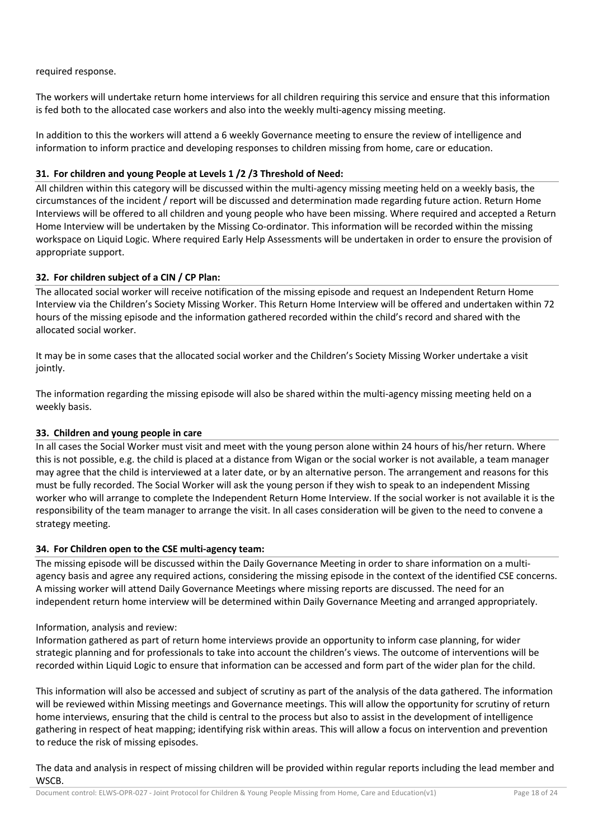## required response.

The workers will undertake return home interviews for all children requiring this service and ensure that this information is fed both to the allocated case workers and also into the weekly multi-agency missing meeting.

In addition to this the workers will attend a 6 weekly Governance meeting to ensure the review of intelligence and information to inform practice and developing responses to children missing from home, care or education.

## **31. For children and young People at Levels 1 /2 /3 Threshold of Need:**

All children within this category will be discussed within the multi-agency missing meeting held on a weekly basis, the circumstances of the incident / report will be discussed and determination made regarding future action. Return Home Interviews will be offered to all children and young people who have been missing. Where required and accepted a Return Home Interview will be undertaken by the Missing Co-ordinator. This information will be recorded within the missing workspace on Liquid Logic. Where required Early Help Assessments will be undertaken in order to ensure the provision of appropriate support.

## **32. For children subject of a CIN / CP Plan:**

The allocated social worker will receive notification of the missing episode and request an Independent Return Home Interview via the Children's Society Missing Worker. This Return Home Interview will be offered and undertaken within 72 hours of the missing episode and the information gathered recorded within the child's record and shared with the allocated social worker.

It may be in some cases that the allocated social worker and the Children's Society Missing Worker undertake a visit jointly.

The information regarding the missing episode will also be shared within the multi-agency missing meeting held on a weekly basis.

## **33. Children and young people in care**

In all cases the Social Worker must visit and meet with the young person alone within 24 hours of his/her return. Where this is not possible, e.g. the child is placed at a distance from Wigan or the social worker is not available, a team manager may agree that the child is interviewed at a later date, or by an alternative person. The arrangement and reasons for this must be fully recorded. The Social Worker will ask the young person if they wish to speak to an independent Missing worker who will arrange to complete the Independent Return Home Interview. If the social worker is not available it is the responsibility of the team manager to arrange the visit. In all cases consideration will be given to the need to convene a strategy meeting.

## **34. For Children open to the CSE multi-agency team:**

The missing episode will be discussed within the Daily Governance Meeting in order to share information on a multiagency basis and agree any required actions, considering the missing episode in the context of the identified CSE concerns. A missing worker will attend Daily Governance Meetings where missing reports are discussed. The need for an independent return home interview will be determined within Daily Governance Meeting and arranged appropriately.

## Information, analysis and review:

Information gathered as part of return home interviews provide an opportunity to inform case planning, for wider strategic planning and for professionals to take into account the children's views. The outcome of interventions will be recorded within Liquid Logic to ensure that information can be accessed and form part of the wider plan for the child.

This information will also be accessed and subject of scrutiny as part of the analysis of the data gathered. The information will be reviewed within Missing meetings and Governance meetings. This will allow the opportunity for scrutiny of return home interviews, ensuring that the child is central to the process but also to assist in the development of intelligence gathering in respect of heat mapping; identifying risk within areas. This will allow a focus on intervention and prevention to reduce the risk of missing episodes.

The data and analysis in respect of missing children will be provided within regular reports including the lead member and WSCB.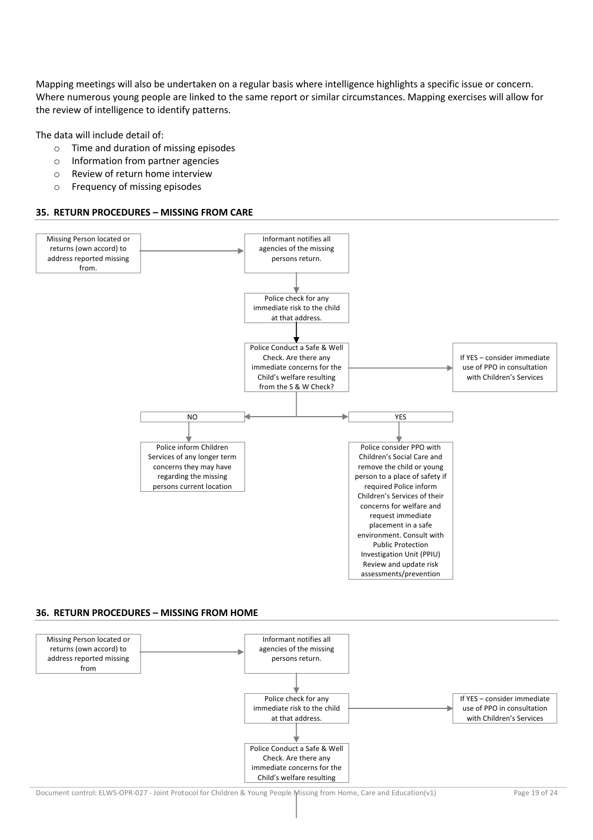Mapping meetings will also be undertaken on a regular basis where intelligence highlights a specific issue or concern. Where numerous young people are linked to the same report or similar circumstances. Mapping exercises will allow for the review of intelligence to identify patterns.

The data will include detail of:

- o Time and duration of missing episodes
- o Information from partner agencies
- o Review of return home interview
- o Frequency of missing episodes

#### **35. RETURN PROCEDURES – MISSING FROM CARE**



#### **36. RETURN PROCEDURES – MISSING FROM HOME**

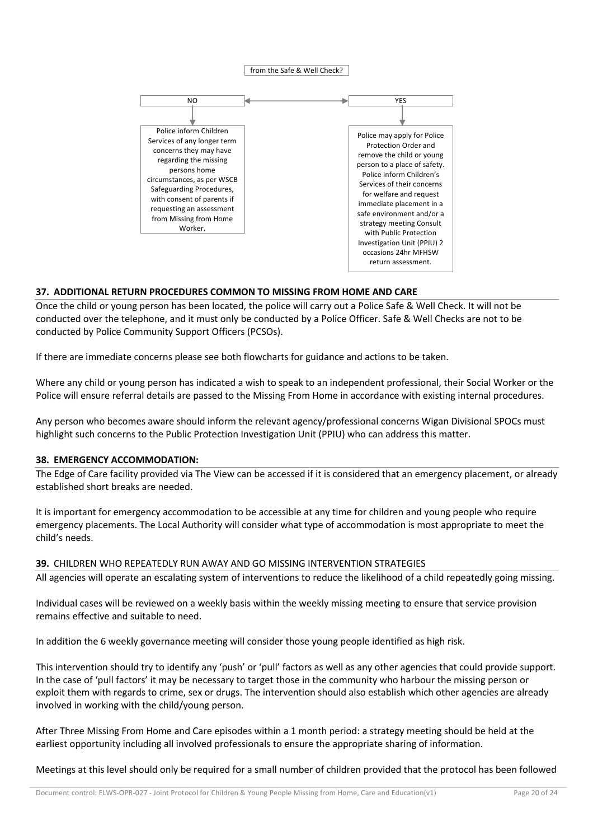#### from the Safe & Well Check?



#### **37. ADDITIONAL RETURN PROCEDURES COMMON TO MISSING FROM HOME AND CARE**

Once the child or young person has been located, the police will carry out a Police Safe & Well Check. It will not be conducted over the telephone, and it must only be conducted by a Police Officer. Safe & Well Checks are not to be conducted by Police Community Support Officers (PCSOs).

If there are immediate concerns please see both flowcharts for guidance and actions to be taken.

Where any child or young person has indicated a wish to speak to an independent professional, their Social Worker or the Police will ensure referral details are passed to the Missing From Home in accordance with existing internal procedures.

Any person who becomes aware should inform the relevant agency/professional concerns Wigan Divisional SPOCs must highlight such concerns to the Public Protection Investigation Unit (PPIU) who can address this matter.

#### **38. EMERGENCY ACCOMMODATION:**

The Edge of Care facility provided via The View can be accessed if it is considered that an emergency placement, or already established short breaks are needed.

It is important for emergency accommodation to be accessible at any time for children and young people who require emergency placements. The Local Authority will consider what type of accommodation is most appropriate to meet the child's needs.

#### **39.** CHILDREN WHO REPEATEDLY RUN AWAY AND GO MISSING INTERVENTION STRATEGIES

All agencies will operate an escalating system of interventions to reduce the likelihood of a child repeatedly going missing.

Individual cases will be reviewed on a weekly basis within the weekly missing meeting to ensure that service provision remains effective and suitable to need.

In addition the 6 weekly governance meeting will consider those young people identified as high risk.

This intervention should try to identify any 'push' or 'pull' factors as well as any other agencies that could provide support. In the case of 'pull factors' it may be necessary to target those in the community who harbour the missing person or exploit them with regards to crime, sex or drugs. The intervention should also establish which other agencies are already involved in working with the child/young person.

After Three Missing From Home and Care episodes within a 1 month period: a strategy meeting should be held at the earliest opportunity including all involved professionals to ensure the appropriate sharing of information.

Meetings at this level should only be required for a small number of children provided that the protocol has been followed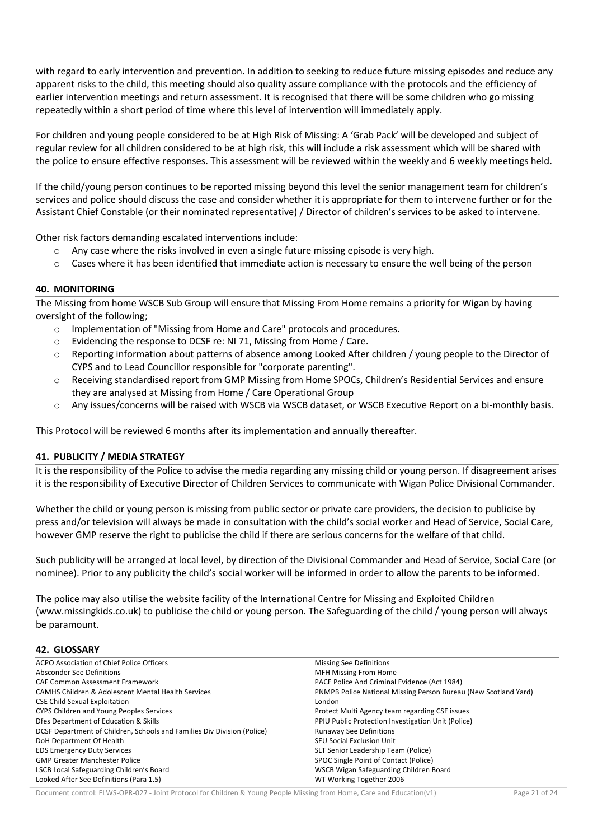with regard to early intervention and prevention. In addition to seeking to reduce future missing episodes and reduce any apparent risks to the child, this meeting should also quality assure compliance with the protocols and the efficiency of earlier intervention meetings and return assessment. It is recognised that there will be some children who go missing repeatedly within a short period of time where this level of intervention will immediately apply.

For children and young people considered to be at High Risk of Missing: A 'Grab Pack' will be developed and subject of regular review for all children considered to be at high risk, this will include a risk assessment which will be shared with the police to ensure effective responses. This assessment will be reviewed within the weekly and 6 weekly meetings held.

If the child/young person continues to be reported missing beyond this level the senior management team for children's services and police should discuss the case and consider whether it is appropriate for them to intervene further or for the Assistant Chief Constable (or their nominated representative) / Director of children's services to be asked to intervene.

Other risk factors demanding escalated interventions include:

- $\circ$  Any case where the risks involved in even a single future missing episode is very high.
- $\circ$  Cases where it has been identified that immediate action is necessary to ensure the well being of the person

#### **40. MONITORING**

The Missing from home WSCB Sub Group will ensure that Missing From Home remains a priority for Wigan by having oversight of the following;

- o Implementation of "Missing from Home and Care" protocols and procedures.
- o Evidencing the response to DCSF re: NI 71, Missing from Home / Care.
- o Reporting information about patterns of absence among Looked After children / young people to the Director of CYPS and to Lead Councillor responsible for "corporate parenting".
- o Receiving standardised report from GMP Missing from Home SPOCs, Children's Residential Services and ensure they are analysed at Missing from Home / Care Operational Group
- o Any issues/concerns will be raised with WSCB via WSCB dataset, or WSCB Executive Report on a bi-monthly basis.

This Protocol will be reviewed 6 months after its implementation and annually thereafter.

#### **41. PUBLICITY / MEDIA STRATEGY**

It is the responsibility of the Police to advise the media regarding any missing child or young person. If disagreement arises it is the responsibility of Executive Director of Children Services to communicate with Wigan Police Divisional Commander.

Whether the child or young person is missing from public sector or private care providers, the decision to publicise by press and/or television will always be made in consultation with the child's social worker and Head of Service, Social Care, however GMP reserve the right to publicise the child if there are serious concerns for the welfare of that child.

Such publicity will be arranged at local level, by direction of the Divisional Commander and Head of Service, Social Care (or nominee). Prior to any publicity the child's social worker will be informed in order to allow the parents to be informed.

The police may also utilise the website facility of the International Centre for Missing and Exploited Children (www.missingkids.co.uk) to publicise the child or young person. The Safeguarding of the child / young person will always be paramount.

## **42. GLOSSARY**

| ACPO Association of Chief Police Officers                               | <b>Missing See Definitions</b>                                  |  |  |
|-------------------------------------------------------------------------|-----------------------------------------------------------------|--|--|
| Absconder See Definitions                                               | <b>MFH Missing From Home</b>                                    |  |  |
| <b>CAF Common Assessment Framework</b>                                  | PACE Police And Criminal Evidence (Act 1984)                    |  |  |
| <b>CAMHS Children &amp; Adolescent Mental Health Services</b>           | PNMPB Police National Missing Person Bureau (New Scotland Yard) |  |  |
| <b>CSE Child Sexual Exploitation</b>                                    | London                                                          |  |  |
| CYPS Children and Young Peoples Services                                | Protect Multi Agency team regarding CSE issues                  |  |  |
| Dies Department of Education & Skills                                   | PPIU Public Protection Investigation Unit (Police)              |  |  |
| DCSF Department of Children, Schools and Families Div Division (Police) | <b>Runaway See Definitions</b>                                  |  |  |
| DoH Department Of Health                                                | <b>SEU Social Exclusion Unit</b>                                |  |  |
| <b>EDS Emergency Duty Services</b>                                      | SLT Senior Leadership Team (Police)                             |  |  |
| <b>GMP Greater Manchester Police</b>                                    | SPOC Single Point of Contact (Police)                           |  |  |
| LSCB Local Safeguarding Children's Board                                | WSCB Wigan Safeguarding Children Board                          |  |  |
| Looked After See Definitions (Para 1.5)                                 | WT Working Together 2006                                        |  |  |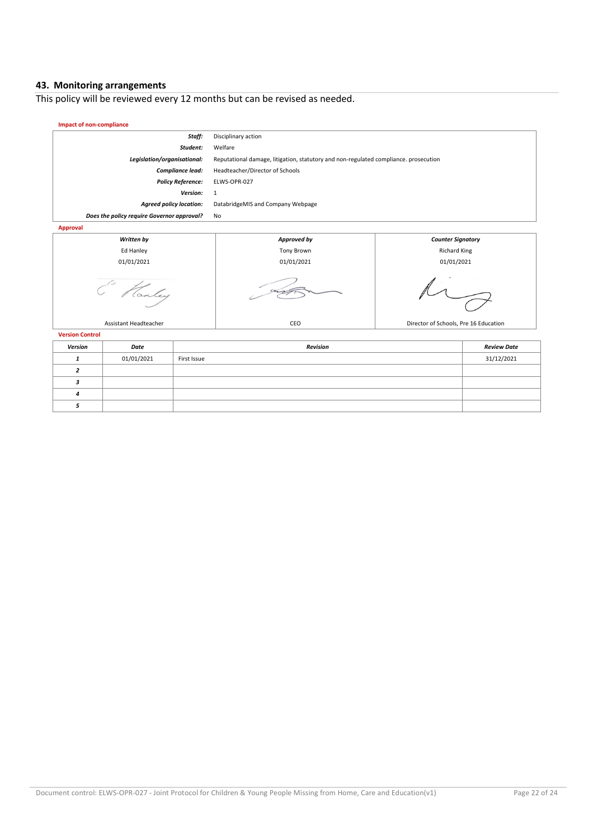#### **43. Monitoring arrangements**

This policy will be reviewed every 12 months but can be revised as needed.

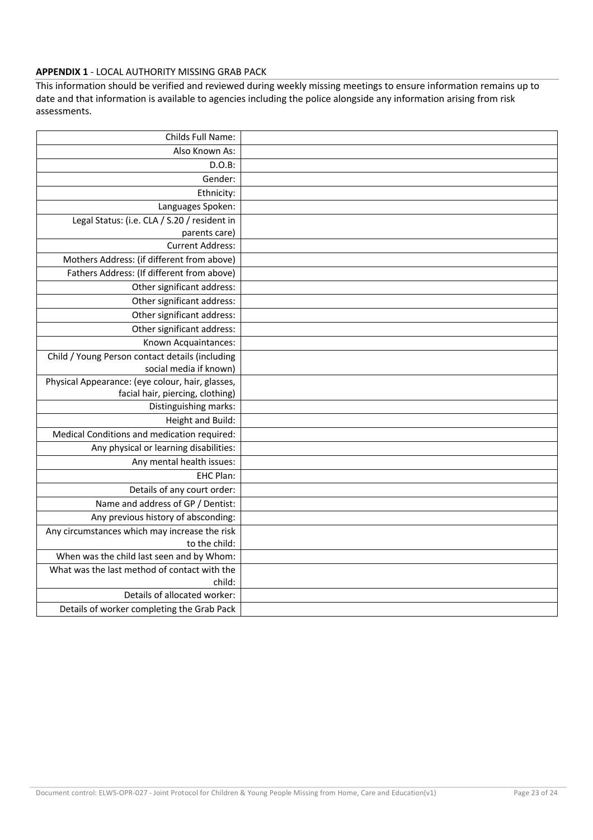# **APPENDIX 1** - LOCAL AUTHORITY MISSING GRAB PACK

This information should be verified and reviewed during weekly missing meetings to ensure information remains up to date and that information is available to agencies including the police alongside any information arising from risk assessments.

| Childs Full Name:                                |  |
|--------------------------------------------------|--|
| Also Known As:                                   |  |
| $D.O.B$ :                                        |  |
| Gender:                                          |  |
| Ethnicity:                                       |  |
| Languages Spoken:                                |  |
| Legal Status: (i.e. CLA / S.20 / resident in     |  |
| parents care)                                    |  |
| <b>Current Address:</b>                          |  |
| Mothers Address: (if different from above)       |  |
| Fathers Address: (If different from above)       |  |
| Other significant address:                       |  |
| Other significant address:                       |  |
| Other significant address:                       |  |
| Other significant address:                       |  |
| Known Acquaintances:                             |  |
| Child / Young Person contact details (including  |  |
| social media if known)                           |  |
| Physical Appearance: (eye colour, hair, glasses, |  |
| facial hair, piercing, clothing)                 |  |
| Distinguishing marks:                            |  |
| Height and Build:                                |  |
| Medical Conditions and medication required:      |  |
| Any physical or learning disabilities:           |  |
| Any mental health issues:                        |  |
| EHC Plan:                                        |  |
| Details of any court order:                      |  |
| Name and address of GP / Dentist:                |  |
| Any previous history of absconding:              |  |
| Any circumstances which may increase the risk    |  |
| to the child:                                    |  |
| When was the child last seen and by Whom:        |  |
| What was the last method of contact with the     |  |
| child:                                           |  |
| Details of allocated worker:                     |  |
| Details of worker completing the Grab Pack       |  |